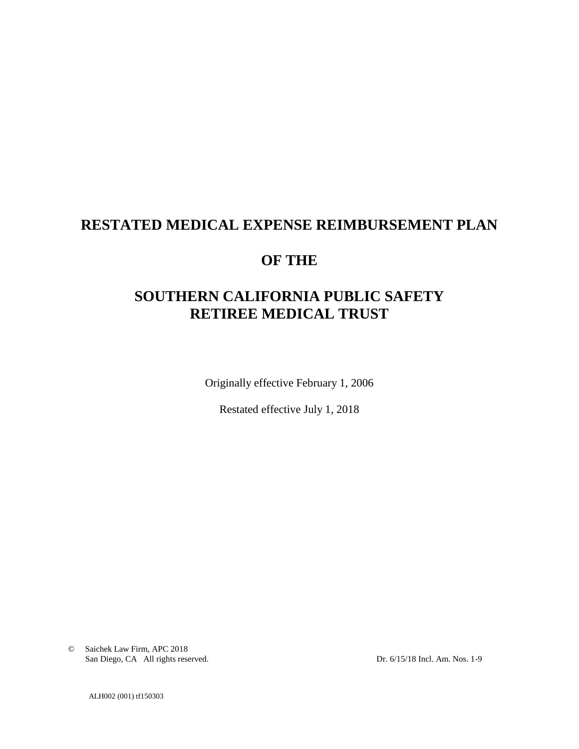# **RESTATED MEDICAL EXPENSE REIMBURSEMENT PLAN**

## **OF THE**

# **SOUTHERN CALIFORNIA PUBLIC SAFETY RETIREE MEDICAL TRUST**

Originally effective February 1, 2006

Restated effective July 1, 2018

© Saichek Law Firm, APC 2018 San Diego, CA All rights reserved. Dr. 6/15/18 Incl. Am. Nos. 1-9

ALH002 (001) tf150303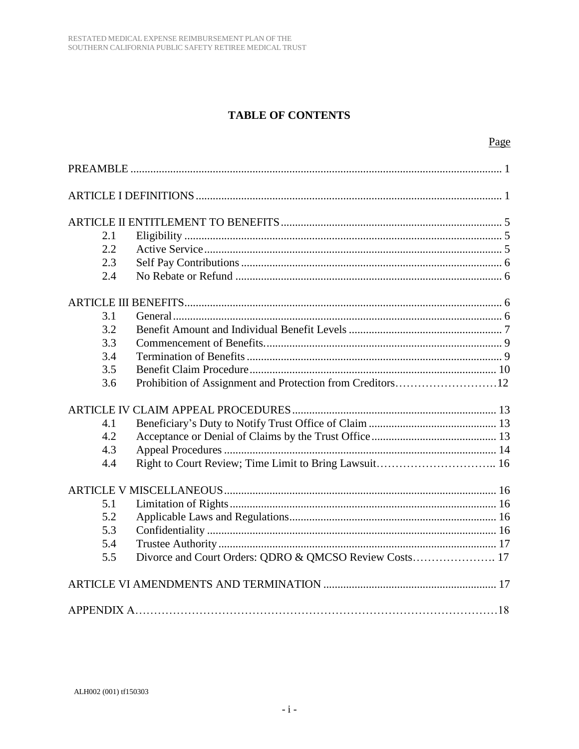## **TABLE OF CONTENTS**

| 2.1 |                                                       |  |  |
|-----|-------------------------------------------------------|--|--|
| 2.2 |                                                       |  |  |
| 2.3 |                                                       |  |  |
| 2.4 |                                                       |  |  |
|     |                                                       |  |  |
| 3.1 |                                                       |  |  |
| 3.2 |                                                       |  |  |
| 3.3 |                                                       |  |  |
| 3.4 |                                                       |  |  |
| 3.5 |                                                       |  |  |
| 3.6 |                                                       |  |  |
|     |                                                       |  |  |
| 4.1 |                                                       |  |  |
| 4.2 |                                                       |  |  |
| 4.3 |                                                       |  |  |
| 4.4 | Right to Court Review; Time Limit to Bring Lawsuit 16 |  |  |
|     |                                                       |  |  |
| 5.1 |                                                       |  |  |
| 5.2 |                                                       |  |  |
| 5.3 |                                                       |  |  |
| 5.4 |                                                       |  |  |
| 5.5 |                                                       |  |  |
|     |                                                       |  |  |
|     |                                                       |  |  |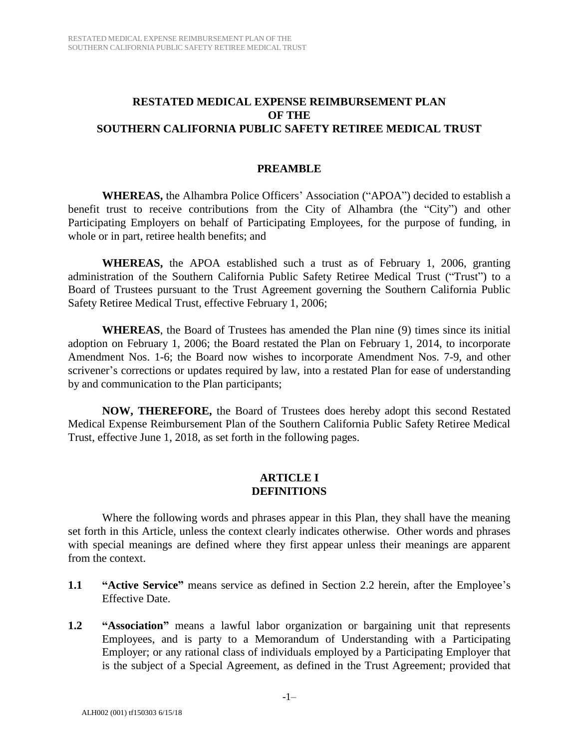#### **RESTATED MEDICAL EXPENSE REIMBURSEMENT PLAN OF THE SOUTHERN CALIFORNIA PUBLIC SAFETY RETIREE MEDICAL TRUST**

#### **PREAMBLE**

**WHEREAS,** the Alhambra Police Officers' Association ("APOA") decided to establish a benefit trust to receive contributions from the City of Alhambra (the "City") and other Participating Employers on behalf of Participating Employees, for the purpose of funding, in whole or in part, retiree health benefits; and

**WHEREAS,** the APOA established such a trust as of February 1, 2006, granting administration of the Southern California Public Safety Retiree Medical Trust ("Trust") to a Board of Trustees pursuant to the Trust Agreement governing the Southern California Public Safety Retiree Medical Trust, effective February 1, 2006;

**WHEREAS**, the Board of Trustees has amended the Plan nine (9) times since its initial adoption on February 1, 2006; the Board restated the Plan on February 1, 2014, to incorporate Amendment Nos. 1-6; the Board now wishes to incorporate Amendment Nos. 7-9, and other scrivener's corrections or updates required by law, into a restated Plan for ease of understanding by and communication to the Plan participants;

**NOW, THEREFORE,** the Board of Trustees does hereby adopt this second Restated Medical Expense Reimbursement Plan of the Southern California Public Safety Retiree Medical Trust, effective June 1, 2018, as set forth in the following pages.

#### **ARTICLE I DEFINITIONS**

Where the following words and phrases appear in this Plan, they shall have the meaning set forth in this Article, unless the context clearly indicates otherwise. Other words and phrases with special meanings are defined where they first appear unless their meanings are apparent from the context.

- **1.1 "Active Service"** means service as defined in Section 2.2 herein, after the Employee's Effective Date.
- **1.2 "Association"** means a lawful labor organization or bargaining unit that represents Employees, and is party to a Memorandum of Understanding with a Participating Employer; or any rational class of individuals employed by a Participating Employer that is the subject of a Special Agreement, as defined in the Trust Agreement; provided that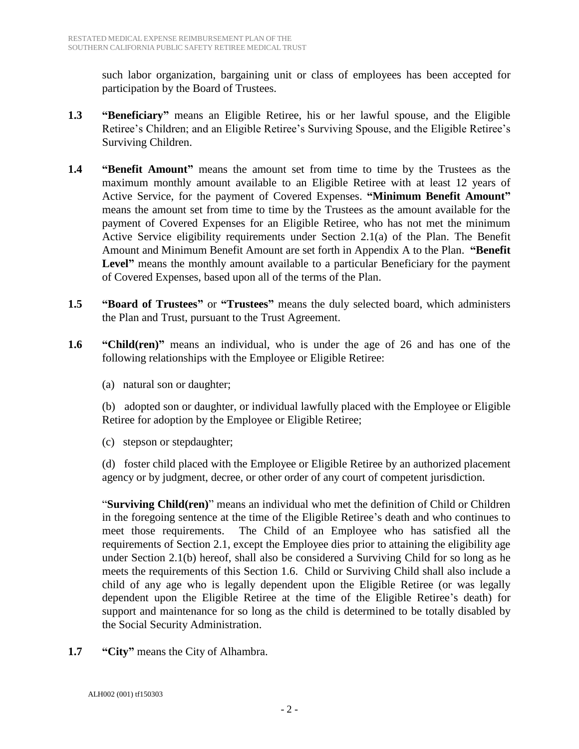such labor organization, bargaining unit or class of employees has been accepted for participation by the Board of Trustees.

- **1.3 "Beneficiary"** means an Eligible Retiree, his or her lawful spouse, and the Eligible Retiree's Children; and an Eligible Retiree's Surviving Spouse, and the Eligible Retiree's Surviving Children.
- **1.4 "Benefit Amount"** means the amount set from time to time by the Trustees as the maximum monthly amount available to an Eligible Retiree with at least 12 years of Active Service, for the payment of Covered Expenses. **"Minimum Benefit Amount"** means the amount set from time to time by the Trustees as the amount available for the payment of Covered Expenses for an Eligible Retiree, who has not met the minimum Active Service eligibility requirements under Section 2.1(a) of the Plan. The Benefit Amount and Minimum Benefit Amount are set forth in Appendix A to the Plan. **"Benefit**  Level" means the monthly amount available to a particular Beneficiary for the payment of Covered Expenses, based upon all of the terms of the Plan.
- **1.5 "Board of Trustees"** or **"Trustees"** means the duly selected board, which administers the Plan and Trust, pursuant to the Trust Agreement.
- **1.6 "Child(ren)"** means an individual, who is under the age of 26 and has one of the following relationships with the Employee or Eligible Retiree:
	- (a) natural son or daughter;

(b) adopted son or daughter, or individual lawfully placed with the Employee or Eligible Retiree for adoption by the Employee or Eligible Retiree;

(c) stepson or stepdaughter;

(d) foster child placed with the Employee or Eligible Retiree by an authorized placement agency or by judgment, decree, or other order of any court of competent jurisdiction.

"**Surviving Child(ren)**" means an individual who met the definition of Child or Children in the foregoing sentence at the time of the Eligible Retiree's death and who continues to meet those requirements. The Child of an Employee who has satisfied all the requirements of Section 2.1, except the Employee dies prior to attaining the eligibility age under Section 2.1(b) hereof, shall also be considered a Surviving Child for so long as he meets the requirements of this Section 1.6. Child or Surviving Child shall also include a child of any age who is legally dependent upon the Eligible Retiree (or was legally dependent upon the Eligible Retiree at the time of the Eligible Retiree's death) for support and maintenance for so long as the child is determined to be totally disabled by the Social Security Administration.

**1.7 "City"** means the City of Alhambra.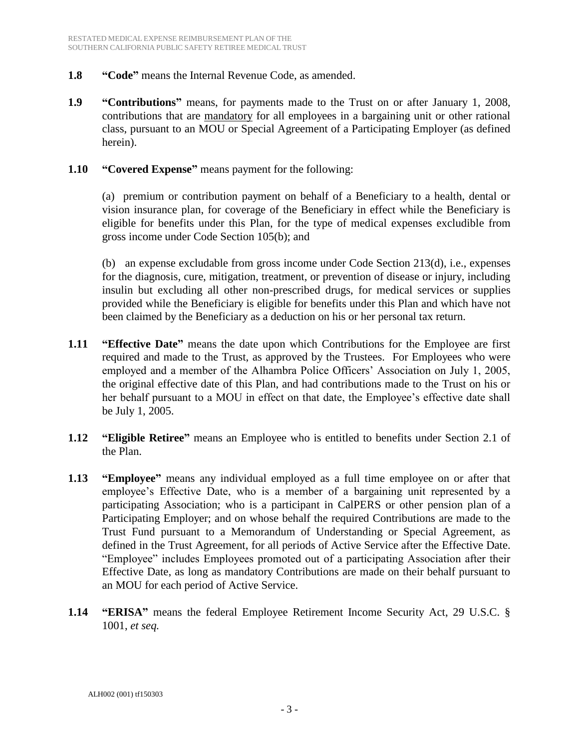- **1.8 "Code"** means the Internal Revenue Code, as amended.
- **1.9 "Contributions"** means, for payments made to the Trust on or after January 1, 2008, contributions that are mandatory for all employees in a bargaining unit or other rational class, pursuant to an MOU or Special Agreement of a Participating Employer (as defined herein).
- **1.10 "Covered Expense"** means payment for the following:

(a) premium or contribution payment on behalf of a Beneficiary to a health, dental or vision insurance plan, for coverage of the Beneficiary in effect while the Beneficiary is eligible for benefits under this Plan, for the type of medical expenses excludible from gross income under Code Section 105(b); and

(b) an expense excludable from gross income under Code Section 213(d), i.e., expenses for the diagnosis, cure, mitigation, treatment, or prevention of disease or injury, including insulin but excluding all other non-prescribed drugs, for medical services or supplies provided while the Beneficiary is eligible for benefits under this Plan and which have not been claimed by the Beneficiary as a deduction on his or her personal tax return.

- **1.11 "Effective Date"** means the date upon which Contributions for the Employee are first required and made to the Trust, as approved by the Trustees. For Employees who were employed and a member of the Alhambra Police Officers' Association on July 1, 2005, the original effective date of this Plan, and had contributions made to the Trust on his or her behalf pursuant to a MOU in effect on that date, the Employee's effective date shall be July 1, 2005.
- **1.12 "Eligible Retiree"** means an Employee who is entitled to benefits under Section 2.1 of the Plan.
- **1.13 "Employee"** means any individual employed as a full time employee on or after that employee's Effective Date, who is a member of a bargaining unit represented by a participating Association; who is a participant in CalPERS or other pension plan of a Participating Employer; and on whose behalf the required Contributions are made to the Trust Fund pursuant to a Memorandum of Understanding or Special Agreement, as defined in the Trust Agreement, for all periods of Active Service after the Effective Date. "Employee" includes Employees promoted out of a participating Association after their Effective Date, as long as mandatory Contributions are made on their behalf pursuant to an MOU for each period of Active Service.
- **1.14 "ERISA"** means the federal Employee Retirement Income Security Act, 29 U.S.C. § 1001, *et seq.*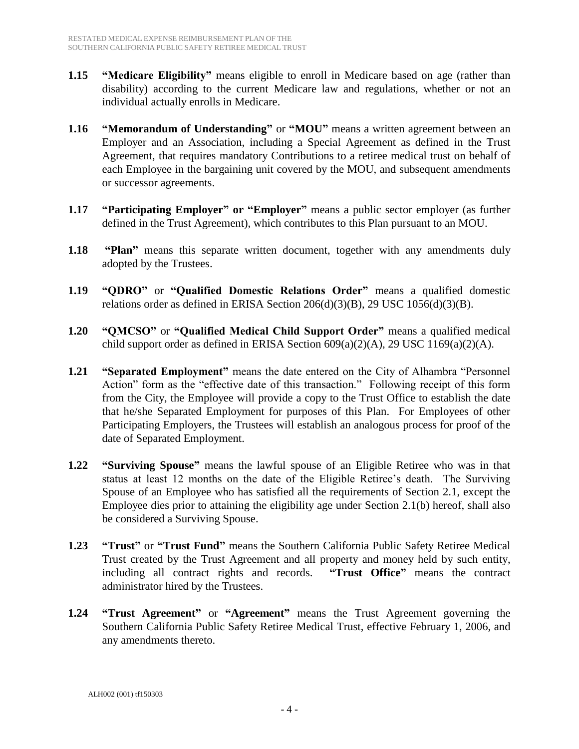- **1.15 "Medicare Eligibility"** means eligible to enroll in Medicare based on age (rather than disability) according to the current Medicare law and regulations, whether or not an individual actually enrolls in Medicare.
- **1.16 "Memorandum of Understanding"** or **"MOU"** means a written agreement between an Employer and an Association, including a Special Agreement as defined in the Trust Agreement, that requires mandatory Contributions to a retiree medical trust on behalf of each Employee in the bargaining unit covered by the MOU, and subsequent amendments or successor agreements.
- **1.17 "Participating Employer" or "Employer"** means a public sector employer (as further defined in the Trust Agreement), which contributes to this Plan pursuant to an MOU.
- **1.18 "Plan"** means this separate written document, together with any amendments duly adopted by the Trustees.
- **1.19 "QDRO"** or **"Qualified Domestic Relations Order"** means a qualified domestic relations order as defined in ERISA Section  $206(d)(3)(B)$ , 29 USC  $1056(d)(3)(B)$ .
- **1.20 "QMCSO"** or **"Qualified Medical Child Support Order"** means a qualified medical child support order as defined in ERISA Section  $609(a)(2)(A)$ , 29 USC 1169 $(a)(2)(A)$ .
- **1.21 "Separated Employment"** means the date entered on the City of Alhambra "Personnel Action" form as the "effective date of this transaction." Following receipt of this form from the City, the Employee will provide a copy to the Trust Office to establish the date that he/she Separated Employment for purposes of this Plan. For Employees of other Participating Employers, the Trustees will establish an analogous process for proof of the date of Separated Employment.
- **1.22 "Surviving Spouse"** means the lawful spouse of an Eligible Retiree who was in that status at least 12 months on the date of the Eligible Retiree's death. The Surviving Spouse of an Employee who has satisfied all the requirements of Section 2.1, except the Employee dies prior to attaining the eligibility age under Section 2.1(b) hereof, shall also be considered a Surviving Spouse.
- **1.23 "Trust"** or **"Trust Fund"** means the Southern California Public Safety Retiree Medical Trust created by the Trust Agreement and all property and money held by such entity, including all contract rights and records. **"Trust Office"** means the contract administrator hired by the Trustees.
- **1.24 "Trust Agreement"** or **"Agreement"** means the Trust Agreement governing the Southern California Public Safety Retiree Medical Trust, effective February 1, 2006, and any amendments thereto.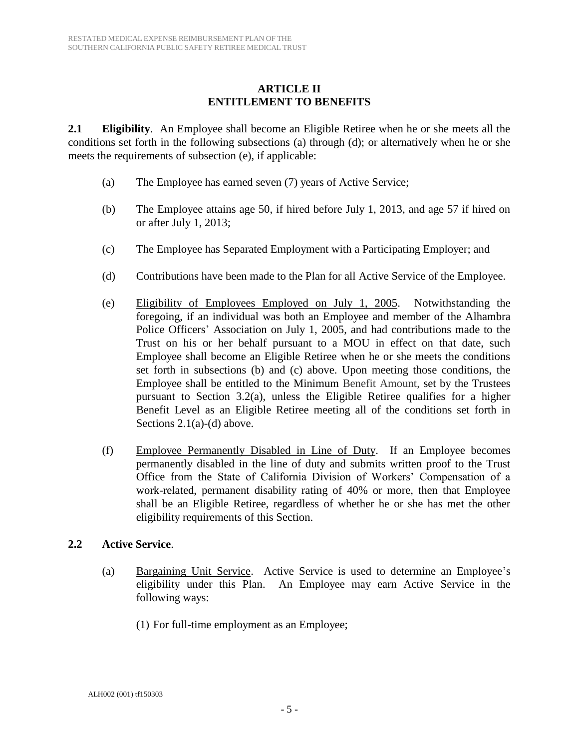#### **ARTICLE II ENTITLEMENT TO BENEFITS**

**2.1 Eligibility**. An Employee shall become an Eligible Retiree when he or she meets all the conditions set forth in the following subsections (a) through (d); or alternatively when he or she meets the requirements of subsection (e), if applicable:

- (a) The Employee has earned seven (7) years of Active Service;
- (b) The Employee attains age 50, if hired before July 1, 2013, and age 57 if hired on or after July 1, 2013;
- (c) The Employee has Separated Employment with a Participating Employer; and
- (d) Contributions have been made to the Plan for all Active Service of the Employee.
- (e) Eligibility of Employees Employed on July 1, 2005. Notwithstanding the foregoing, if an individual was both an Employee and member of the Alhambra Police Officers' Association on July 1, 2005, and had contributions made to the Trust on his or her behalf pursuant to a MOU in effect on that date, such Employee shall become an Eligible Retiree when he or she meets the conditions set forth in subsections (b) and (c) above. Upon meeting those conditions, the Employee shall be entitled to the Minimum Benefit Amount, set by the Trustees pursuant to Section 3.2(a), unless the Eligible Retiree qualifies for a higher Benefit Level as an Eligible Retiree meeting all of the conditions set forth in Sections 2.1(a)-(d) above.
- (f) Employee Permanently Disabled in Line of Duty. If an Employee becomes permanently disabled in the line of duty and submits written proof to the Trust Office from the State of California Division of Workers' Compensation of a work-related, permanent disability rating of 40% or more, then that Employee shall be an Eligible Retiree, regardless of whether he or she has met the other eligibility requirements of this Section.

#### **2.2 Active Service**.

- (a) Bargaining Unit Service. Active Service is used to determine an Employee's eligibility under this Plan. An Employee may earn Active Service in the following ways:
	- (1) For full-time employment as an Employee;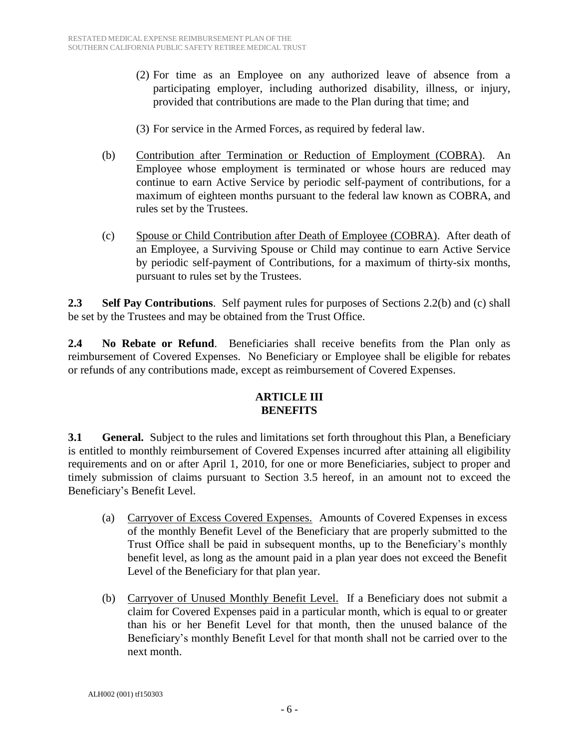- (2) For time as an Employee on any authorized leave of absence from a participating employer, including authorized disability, illness, or injury, provided that contributions are made to the Plan during that time; and
- (3) For service in the Armed Forces, as required by federal law.
- (b) Contribution after Termination or Reduction of Employment (COBRA). An Employee whose employment is terminated or whose hours are reduced may continue to earn Active Service by periodic self-payment of contributions, for a maximum of eighteen months pursuant to the federal law known as COBRA, and rules set by the Trustees.
- (c) Spouse or Child Contribution after Death of Employee (COBRA). After death of an Employee, a Surviving Spouse or Child may continue to earn Active Service by periodic self-payment of Contributions, for a maximum of thirty-six months, pursuant to rules set by the Trustees.

**2.3 Self Pay Contributions**. Self payment rules for purposes of Sections 2.2(b) and (c) shall be set by the Trustees and may be obtained from the Trust Office.

**2.4 No Rebate or Refund**. Beneficiaries shall receive benefits from the Plan only as reimbursement of Covered Expenses. No Beneficiary or Employee shall be eligible for rebates or refunds of any contributions made, except as reimbursement of Covered Expenses.

#### **ARTICLE III BENEFITS**

**3.1 •• General.** Subject to the rules and limitations set forth throughout this Plan, a Beneficiary is entitled to monthly reimbursement of Covered Expenses incurred after attaining all eligibility requirements and on or after April 1, 2010, for one or more Beneficiaries, subject to proper and timely submission of claims pursuant to Section 3.5 hereof, in an amount not to exceed the Beneficiary's Benefit Level.

- (a) Carryover of Excess Covered Expenses. Amounts of Covered Expenses in excess of the monthly Benefit Level of the Beneficiary that are properly submitted to the Trust Office shall be paid in subsequent months, up to the Beneficiary's monthly benefit level, as long as the amount paid in a plan year does not exceed the Benefit Level of the Beneficiary for that plan year.
- (b) Carryover of Unused Monthly Benefit Level. If a Beneficiary does not submit a claim for Covered Expenses paid in a particular month, which is equal to or greater than his or her Benefit Level for that month, then the unused balance of the Beneficiary's monthly Benefit Level for that month shall not be carried over to the next month.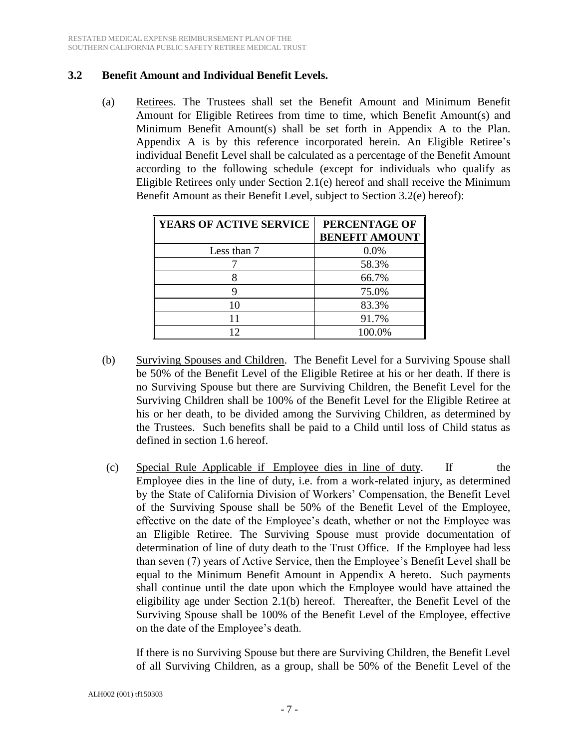#### **3.2 Benefit Amount and Individual Benefit Levels.**

(a) Retirees. The Trustees shall set the Benefit Amount and Minimum Benefit Amount for Eligible Retirees from time to time, which Benefit Amount(s) and Minimum Benefit Amount(s) shall be set forth in Appendix A to the Plan. Appendix A is by this reference incorporated herein. An Eligible Retiree's individual Benefit Level shall be calculated as a percentage of the Benefit Amount according to the following schedule (except for individuals who qualify as Eligible Retirees only under Section 2.1(e) hereof and shall receive the Minimum Benefit Amount as their Benefit Level, subject to Section 3.2(e) hereof):

| YEARS OF ACTIVE SERVICE | PERCENTAGE OF<br><b>BENEFIT AMOUNT</b> |
|-------------------------|----------------------------------------|
| Less than 7             | 0.0%                                   |
|                         | 58.3%                                  |
|                         | 66.7%                                  |
|                         | 75.0%                                  |
| 10                      | 83.3%                                  |
| 11                      | 91.7%                                  |
| 12                      | 100.0%                                 |

- (b) Surviving Spouses and Children. The Benefit Level for a Surviving Spouse shall be 50% of the Benefit Level of the Eligible Retiree at his or her death. If there is no Surviving Spouse but there are Surviving Children, the Benefit Level for the Surviving Children shall be 100% of the Benefit Level for the Eligible Retiree at his or her death, to be divided among the Surviving Children, as determined by the Trustees. Such benefits shall be paid to a Child until loss of Child status as defined in section 1.6 hereof.
- (c) Special Rule Applicable if Employee dies in line of duty. If the Employee dies in the line of duty, i.e. from a work-related injury, as determined by the State of California Division of Workers' Compensation, the Benefit Level of the Surviving Spouse shall be 50% of the Benefit Level of the Employee, effective on the date of the Employee's death, whether or not the Employee was an Eligible Retiree. The Surviving Spouse must provide documentation of determination of line of duty death to the Trust Office. If the Employee had less than seven (7) years of Active Service, then the Employee's Benefit Level shall be equal to the Minimum Benefit Amount in Appendix A hereto. Such payments shall continue until the date upon which the Employee would have attained the eligibility age under Section 2.1(b) hereof. Thereafter, the Benefit Level of the Surviving Spouse shall be 100% of the Benefit Level of the Employee, effective on the date of the Employee's death.

If there is no Surviving Spouse but there are Surviving Children, the Benefit Level of all Surviving Children, as a group, shall be 50% of the Benefit Level of the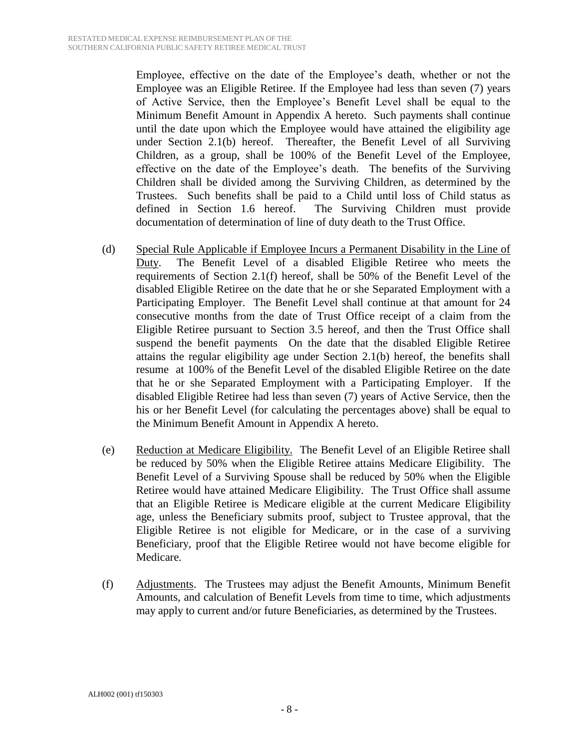Employee, effective on the date of the Employee's death, whether or not the Employee was an Eligible Retiree. If the Employee had less than seven (7) years of Active Service, then the Employee's Benefit Level shall be equal to the Minimum Benefit Amount in Appendix A hereto. Such payments shall continue until the date upon which the Employee would have attained the eligibility age under Section 2.1(b) hereof. Thereafter, the Benefit Level of all Surviving Children, as a group, shall be 100% of the Benefit Level of the Employee, effective on the date of the Employee's death. The benefits of the Surviving Children shall be divided among the Surviving Children, as determined by the Trustees. Such benefits shall be paid to a Child until loss of Child status as defined in Section 1.6 hereof. The Surviving Children must provide documentation of determination of line of duty death to the Trust Office.

- (d) Special Rule Applicable if Employee Incurs a Permanent Disability in the Line of Duty. The Benefit Level of a disabled Eligible Retiree who meets the requirements of Section 2.1(f) hereof, shall be 50% of the Benefit Level of the disabled Eligible Retiree on the date that he or she Separated Employment with a Participating Employer. The Benefit Level shall continue at that amount for 24 consecutive months from the date of Trust Office receipt of a claim from the Eligible Retiree pursuant to Section 3.5 hereof, and then the Trust Office shall suspend the benefit payments On the date that the disabled Eligible Retiree attains the regular eligibility age under Section 2.1(b) hereof, the benefits shall resume at 100% of the Benefit Level of the disabled Eligible Retiree on the date that he or she Separated Employment with a Participating Employer. If the disabled Eligible Retiree had less than seven (7) years of Active Service, then the his or her Benefit Level (for calculating the percentages above) shall be equal to the Minimum Benefit Amount in Appendix A hereto.
- (e) Reduction at Medicare Eligibility. The Benefit Level of an Eligible Retiree shall be reduced by 50% when the Eligible Retiree attains Medicare Eligibility. The Benefit Level of a Surviving Spouse shall be reduced by 50% when the Eligible Retiree would have attained Medicare Eligibility. The Trust Office shall assume that an Eligible Retiree is Medicare eligible at the current Medicare Eligibility age, unless the Beneficiary submits proof, subject to Trustee approval, that the Eligible Retiree is not eligible for Medicare, or in the case of a surviving Beneficiary, proof that the Eligible Retiree would not have become eligible for Medicare.
- (f) Adjustments. The Trustees may adjust the Benefit Amounts, Minimum Benefit Amounts, and calculation of Benefit Levels from time to time, which adjustments may apply to current and/or future Beneficiaries, as determined by the Trustees.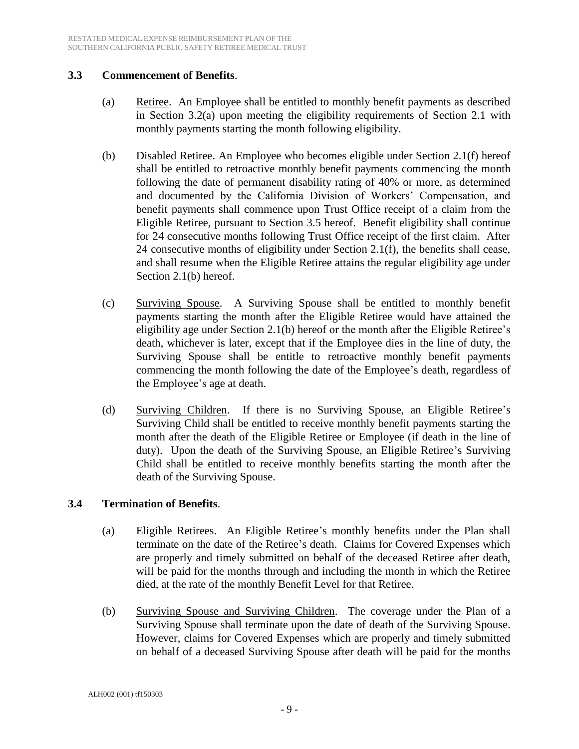#### **3.3 Commencement of Benefits**.

- (a) Retiree. An Employee shall be entitled to monthly benefit payments as described in Section 3.2(a) upon meeting the eligibility requirements of Section 2.1 with monthly payments starting the month following eligibility.
- (b) Disabled Retiree. An Employee who becomes eligible under Section 2.1(f) hereof shall be entitled to retroactive monthly benefit payments commencing the month following the date of permanent disability rating of 40% or more, as determined and documented by the California Division of Workers' Compensation, and benefit payments shall commence upon Trust Office receipt of a claim from the Eligible Retiree, pursuant to Section 3.5 hereof. Benefit eligibility shall continue for 24 consecutive months following Trust Office receipt of the first claim. After 24 consecutive months of eligibility under Section 2.1(f), the benefits shall cease, and shall resume when the Eligible Retiree attains the regular eligibility age under Section 2.1(b) hereof.
- (c) Surviving Spouse. A Surviving Spouse shall be entitled to monthly benefit payments starting the month after the Eligible Retiree would have attained the eligibility age under Section 2.1(b) hereof or the month after the Eligible Retiree's death, whichever is later, except that if the Employee dies in the line of duty, the Surviving Spouse shall be entitle to retroactive monthly benefit payments commencing the month following the date of the Employee's death, regardless of the Employee's age at death.
- (d) Surviving Children. If there is no Surviving Spouse, an Eligible Retiree's Surviving Child shall be entitled to receive monthly benefit payments starting the month after the death of the Eligible Retiree or Employee (if death in the line of duty). Upon the death of the Surviving Spouse, an Eligible Retiree's Surviving Child shall be entitled to receive monthly benefits starting the month after the death of the Surviving Spouse.

#### **3.4 Termination of Benefits**.

- (a) Eligible Retirees. An Eligible Retiree's monthly benefits under the Plan shall terminate on the date of the Retiree's death. Claims for Covered Expenses which are properly and timely submitted on behalf of the deceased Retiree after death, will be paid for the months through and including the month in which the Retiree died, at the rate of the monthly Benefit Level for that Retiree.
- (b) Surviving Spouse and Surviving Children. The coverage under the Plan of a Surviving Spouse shall terminate upon the date of death of the Surviving Spouse. However, claims for Covered Expenses which are properly and timely submitted on behalf of a deceased Surviving Spouse after death will be paid for the months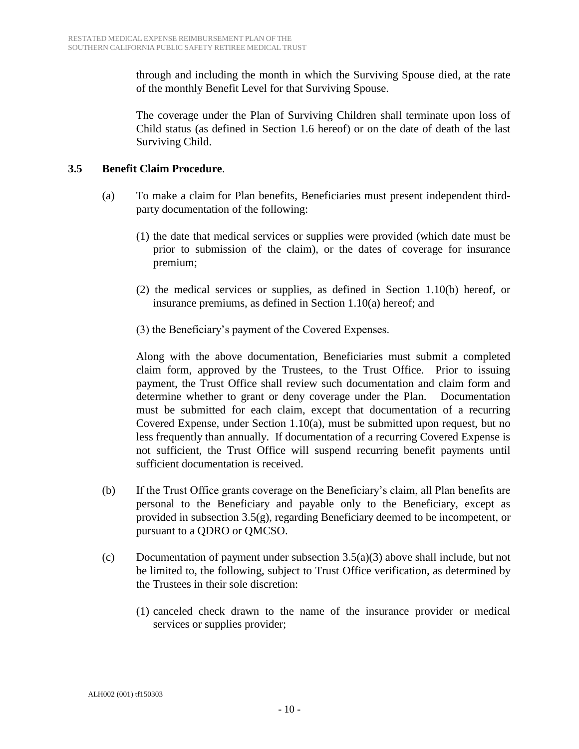through and including the month in which the Surviving Spouse died, at the rate of the monthly Benefit Level for that Surviving Spouse.

The coverage under the Plan of Surviving Children shall terminate upon loss of Child status (as defined in Section 1.6 hereof) or on the date of death of the last Surviving Child.

#### **3.5 Benefit Claim Procedure**.

- (a) To make a claim for Plan benefits, Beneficiaries must present independent thirdparty documentation of the following:
	- (1) the date that medical services or supplies were provided (which date must be prior to submission of the claim), or the dates of coverage for insurance premium;
	- (2) the medical services or supplies, as defined in Section 1.10(b) hereof, or insurance premiums, as defined in Section 1.10(a) hereof; and
	- (3) the Beneficiary's payment of the Covered Expenses.

Along with the above documentation, Beneficiaries must submit a completed claim form, approved by the Trustees, to the Trust Office. Prior to issuing payment, the Trust Office shall review such documentation and claim form and determine whether to grant or deny coverage under the Plan. Documentation must be submitted for each claim, except that documentation of a recurring Covered Expense, under Section 1.10(a), must be submitted upon request, but no less frequently than annually. If documentation of a recurring Covered Expense is not sufficient, the Trust Office will suspend recurring benefit payments until sufficient documentation is received.

- (b) If the Trust Office grants coverage on the Beneficiary's claim, all Plan benefits are personal to the Beneficiary and payable only to the Beneficiary, except as provided in subsection 3.5(g), regarding Beneficiary deemed to be incompetent, or pursuant to a QDRO or QMCSO.
- (c) Documentation of payment under subsection 3.5(a)(3) above shall include, but not be limited to, the following, subject to Trust Office verification, as determined by the Trustees in their sole discretion:
	- (1) canceled check drawn to the name of the insurance provider or medical services or supplies provider;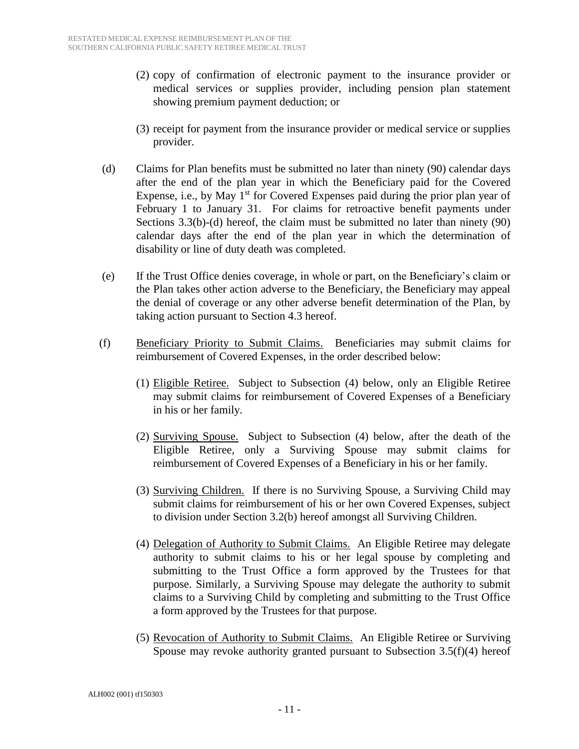- (2) copy of confirmation of electronic payment to the insurance provider or medical services or supplies provider, including pension plan statement showing premium payment deduction; or
- (3) receipt for payment from the insurance provider or medical service or supplies provider.
- (d) Claims for Plan benefits must be submitted no later than ninety (90) calendar days after the end of the plan year in which the Beneficiary paid for the Covered Expense, i.e., by May  $1<sup>st</sup>$  for Covered Expenses paid during the prior plan year of February 1 to January 31. For claims for retroactive benefit payments under Sections 3.3(b)-(d) hereof, the claim must be submitted no later than ninety (90) calendar days after the end of the plan year in which the determination of disability or line of duty death was completed.
- (e) If the Trust Office denies coverage, in whole or part, on the Beneficiary's claim or the Plan takes other action adverse to the Beneficiary, the Beneficiary may appeal the denial of coverage or any other adverse benefit determination of the Plan, by taking action pursuant to Section 4.3 hereof.
- (f) Beneficiary Priority to Submit Claims. Beneficiaries may submit claims for reimbursement of Covered Expenses, in the order described below:
	- (1) Eligible Retiree. Subject to Subsection (4) below, only an Eligible Retiree may submit claims for reimbursement of Covered Expenses of a Beneficiary in his or her family.
	- (2) Surviving Spouse. Subject to Subsection (4) below, after the death of the Eligible Retiree, only a Surviving Spouse may submit claims for reimbursement of Covered Expenses of a Beneficiary in his or her family.
	- (3) Surviving Children. If there is no Surviving Spouse, a Surviving Child may submit claims for reimbursement of his or her own Covered Expenses, subject to division under Section 3.2(b) hereof amongst all Surviving Children.
	- (4) Delegation of Authority to Submit Claims. An Eligible Retiree may delegate authority to submit claims to his or her legal spouse by completing and submitting to the Trust Office a form approved by the Trustees for that purpose. Similarly, a Surviving Spouse may delegate the authority to submit claims to a Surviving Child by completing and submitting to the Trust Office a form approved by the Trustees for that purpose.
	- (5) Revocation of Authority to Submit Claims. An Eligible Retiree or Surviving Spouse may revoke authority granted pursuant to Subsection  $3.5(f)(4)$  hereof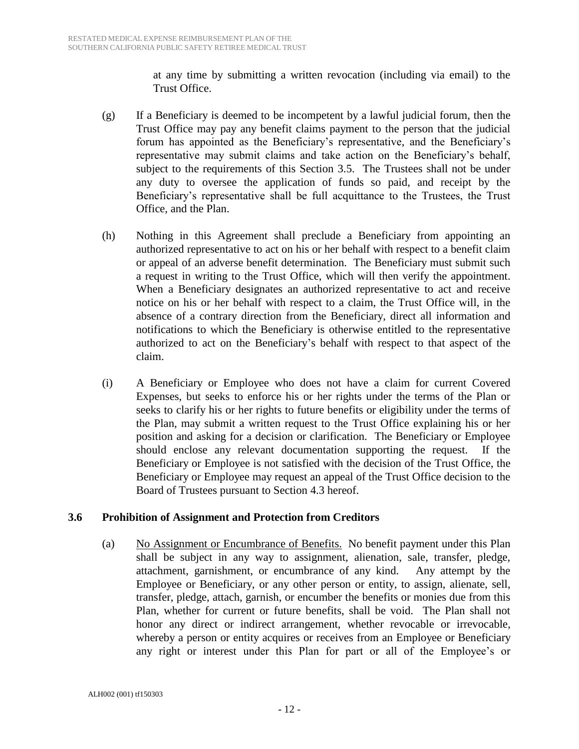at any time by submitting a written revocation (including via email) to the Trust Office.

- (g) If a Beneficiary is deemed to be incompetent by a lawful judicial forum, then the Trust Office may pay any benefit claims payment to the person that the judicial forum has appointed as the Beneficiary's representative, and the Beneficiary's representative may submit claims and take action on the Beneficiary's behalf, subject to the requirements of this Section 3.5. The Trustees shall not be under any duty to oversee the application of funds so paid, and receipt by the Beneficiary's representative shall be full acquittance to the Trustees, the Trust Office, and the Plan.
- (h) Nothing in this Agreement shall preclude a Beneficiary from appointing an authorized representative to act on his or her behalf with respect to a benefit claim or appeal of an adverse benefit determination. The Beneficiary must submit such a request in writing to the Trust Office, which will then verify the appointment. When a Beneficiary designates an authorized representative to act and receive notice on his or her behalf with respect to a claim, the Trust Office will, in the absence of a contrary direction from the Beneficiary, direct all information and notifications to which the Beneficiary is otherwise entitled to the representative authorized to act on the Beneficiary's behalf with respect to that aspect of the claim.
- (i) A Beneficiary or Employee who does not have a claim for current Covered Expenses, but seeks to enforce his or her rights under the terms of the Plan or seeks to clarify his or her rights to future benefits or eligibility under the terms of the Plan, may submit a written request to the Trust Office explaining his or her position and asking for a decision or clarification. The Beneficiary or Employee should enclose any relevant documentation supporting the request. If the Beneficiary or Employee is not satisfied with the decision of the Trust Office, the Beneficiary or Employee may request an appeal of the Trust Office decision to the Board of Trustees pursuant to Section 4.3 hereof.

#### **3.6 Prohibition of Assignment and Protection from Creditors**

(a) No Assignment or Encumbrance of Benefits. No benefit payment under this Plan shall be subject in any way to assignment, alienation, sale, transfer, pledge, attachment, garnishment, or encumbrance of any kind. Any attempt by the Employee or Beneficiary, or any other person or entity, to assign, alienate, sell, transfer, pledge, attach, garnish, or encumber the benefits or monies due from this Plan, whether for current or future benefits, shall be void. The Plan shall not honor any direct or indirect arrangement, whether revocable or irrevocable, whereby a person or entity acquires or receives from an Employee or Beneficiary any right or interest under this Plan for part or all of the Employee's or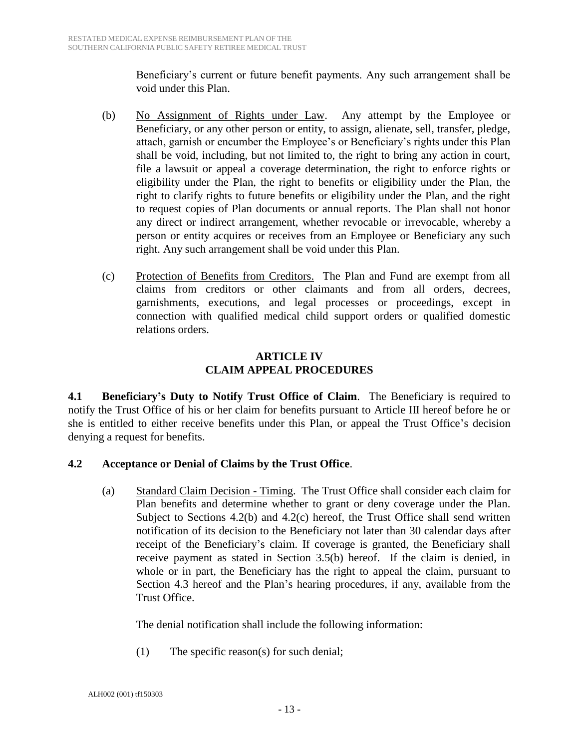Beneficiary's current or future benefit payments. Any such arrangement shall be void under this Plan.

- (b) No Assignment of Rights under Law. Any attempt by the Employee or Beneficiary, or any other person or entity, to assign, alienate, sell, transfer, pledge, attach, garnish or encumber the Employee's or Beneficiary's rights under this Plan shall be void, including, but not limited to, the right to bring any action in court, file a lawsuit or appeal a coverage determination, the right to enforce rights or eligibility under the Plan, the right to benefits or eligibility under the Plan, the right to clarify rights to future benefits or eligibility under the Plan, and the right to request copies of Plan documents or annual reports. The Plan shall not honor any direct or indirect arrangement, whether revocable or irrevocable, whereby a person or entity acquires or receives from an Employee or Beneficiary any such right. Any such arrangement shall be void under this Plan.
- (c) Protection of Benefits from Creditors. The Plan and Fund are exempt from all claims from creditors or other claimants and from all orders, decrees, garnishments, executions, and legal processes or proceedings, except in connection with qualified medical child support orders or qualified domestic relations orders.

#### **ARTICLE IV CLAIM APPEAL PROCEDURES**

**4.1 Beneficiary's Duty to Notify Trust Office of Claim**. The Beneficiary is required to notify the Trust Office of his or her claim for benefits pursuant to Article III hereof before he or she is entitled to either receive benefits under this Plan, or appeal the Trust Office's decision denying a request for benefits.

### **4.2 Acceptance or Denial of Claims by the Trust Office**.

(a) Standard Claim Decision - Timing. The Trust Office shall consider each claim for Plan benefits and determine whether to grant or deny coverage under the Plan. Subject to Sections 4.2(b) and 4.2(c) hereof, the Trust Office shall send written notification of its decision to the Beneficiary not later than 30 calendar days after receipt of the Beneficiary's claim. If coverage is granted, the Beneficiary shall receive payment as stated in Section 3.5(b) hereof. If the claim is denied, in whole or in part, the Beneficiary has the right to appeal the claim, pursuant to Section 4.3 hereof and the Plan's hearing procedures, if any, available from the Trust Office.

The denial notification shall include the following information:

(1) The specific reason(s) for such denial;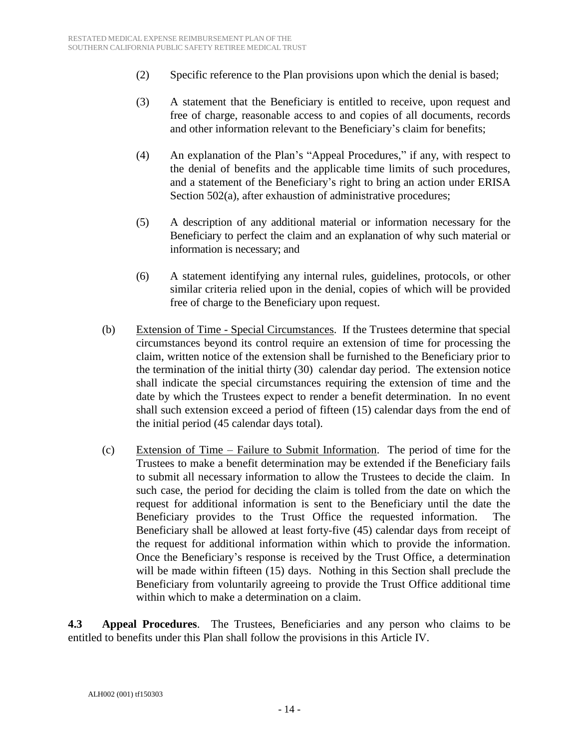- (2) Specific reference to the Plan provisions upon which the denial is based;
- (3) A statement that the Beneficiary is entitled to receive, upon request and free of charge, reasonable access to and copies of all documents, records and other information relevant to the Beneficiary's claim for benefits;
- (4) An explanation of the Plan's "Appeal Procedures," if any, with respect to the denial of benefits and the applicable time limits of such procedures, and a statement of the Beneficiary's right to bring an action under ERISA Section 502(a), after exhaustion of administrative procedures;
- (5) A description of any additional material or information necessary for the Beneficiary to perfect the claim and an explanation of why such material or information is necessary; and
- (6) A statement identifying any internal rules, guidelines, protocols, or other similar criteria relied upon in the denial, copies of which will be provided free of charge to the Beneficiary upon request.
- (b) Extension of Time Special Circumstances. If the Trustees determine that special circumstances beyond its control require an extension of time for processing the claim, written notice of the extension shall be furnished to the Beneficiary prior to the termination of the initial thirty (30) calendar day period. The extension notice shall indicate the special circumstances requiring the extension of time and the date by which the Trustees expect to render a benefit determination. In no event shall such extension exceed a period of fifteen (15) calendar days from the end of the initial period (45 calendar days total).
- (c) Extension of Time Failure to Submit Information. The period of time for the Trustees to make a benefit determination may be extended if the Beneficiary fails to submit all necessary information to allow the Trustees to decide the claim. In such case, the period for deciding the claim is tolled from the date on which the request for additional information is sent to the Beneficiary until the date the Beneficiary provides to the Trust Office the requested information. The Beneficiary shall be allowed at least forty-five (45) calendar days from receipt of the request for additional information within which to provide the information. Once the Beneficiary's response is received by the Trust Office, a determination will be made within fifteen (15) days. Nothing in this Section shall preclude the Beneficiary from voluntarily agreeing to provide the Trust Office additional time within which to make a determination on a claim.

**4.3 Appeal Procedures**. The Trustees, Beneficiaries and any person who claims to be entitled to benefits under this Plan shall follow the provisions in this Article IV.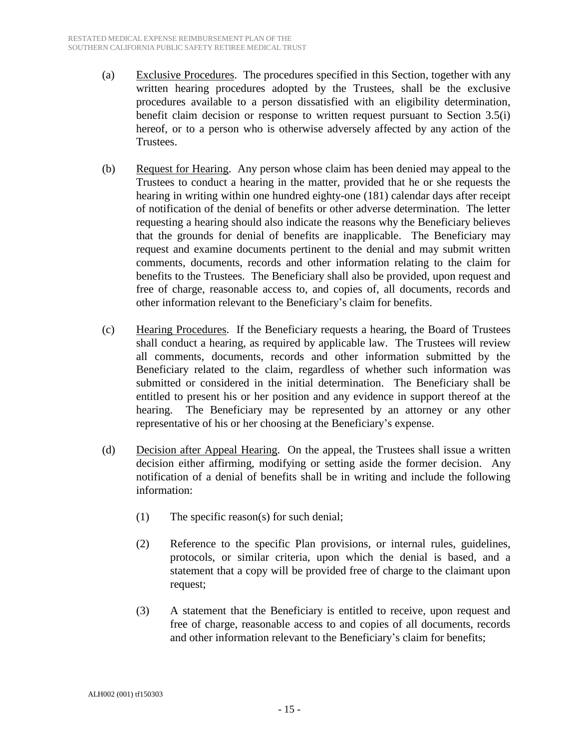- (a) Exclusive Procedures. The procedures specified in this Section, together with any written hearing procedures adopted by the Trustees, shall be the exclusive procedures available to a person dissatisfied with an eligibility determination, benefit claim decision or response to written request pursuant to Section 3.5(i) hereof, or to a person who is otherwise adversely affected by any action of the Trustees.
- (b) Request for Hearing. Any person whose claim has been denied may appeal to the Trustees to conduct a hearing in the matter, provided that he or she requests the hearing in writing within one hundred eighty-one (181) calendar days after receipt of notification of the denial of benefits or other adverse determination. The letter requesting a hearing should also indicate the reasons why the Beneficiary believes that the grounds for denial of benefits are inapplicable. The Beneficiary may request and examine documents pertinent to the denial and may submit written comments, documents, records and other information relating to the claim for benefits to the Trustees. The Beneficiary shall also be provided, upon request and free of charge, reasonable access to, and copies of, all documents, records and other information relevant to the Beneficiary's claim for benefits.
- (c) Hearing Procedures. If the Beneficiary requests a hearing, the Board of Trustees shall conduct a hearing, as required by applicable law. The Trustees will review all comments, documents, records and other information submitted by the Beneficiary related to the claim, regardless of whether such information was submitted or considered in the initial determination. The Beneficiary shall be entitled to present his or her position and any evidence in support thereof at the hearing. The Beneficiary may be represented by an attorney or any other representative of his or her choosing at the Beneficiary's expense.
- (d) Decision after Appeal Hearing. On the appeal, the Trustees shall issue a written decision either affirming, modifying or setting aside the former decision. Any notification of a denial of benefits shall be in writing and include the following information:
	- (1) The specific reason(s) for such denial;
	- (2) Reference to the specific Plan provisions, or internal rules, guidelines, protocols, or similar criteria, upon which the denial is based, and a statement that a copy will be provided free of charge to the claimant upon request;
	- (3) A statement that the Beneficiary is entitled to receive, upon request and free of charge, reasonable access to and copies of all documents, records and other information relevant to the Beneficiary's claim for benefits;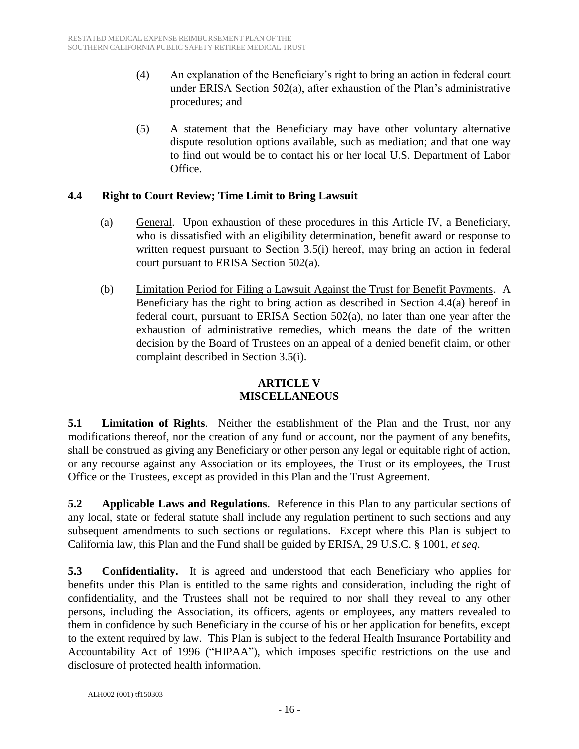- (4) An explanation of the Beneficiary's right to bring an action in federal court under ERISA Section 502(a), after exhaustion of the Plan's administrative procedures; and
- (5) A statement that the Beneficiary may have other voluntary alternative dispute resolution options available, such as mediation; and that one way to find out would be to contact his or her local U.S. Department of Labor Office.

#### **4.4 Right to Court Review; Time Limit to Bring Lawsuit**

- (a) General. Upon exhaustion of these procedures in this Article IV, a Beneficiary, who is dissatisfied with an eligibility determination, benefit award or response to written request pursuant to Section 3.5(i) hereof, may bring an action in federal court pursuant to ERISA Section 502(a).
- (b) Limitation Period for Filing a Lawsuit Against the Trust for Benefit Payments. A Beneficiary has the right to bring action as described in Section 4.4(a) hereof in federal court, pursuant to ERISA Section 502(a), no later than one year after the exhaustion of administrative remedies, which means the date of the written decision by the Board of Trustees on an appeal of a denied benefit claim, or other complaint described in Section 3.5(i).

### **ARTICLE V MISCELLANEOUS**

**5.1 Limitation of Rights**. Neither the establishment of the Plan and the Trust, nor any modifications thereof, nor the creation of any fund or account, nor the payment of any benefits, shall be construed as giving any Beneficiary or other person any legal or equitable right of action, or any recourse against any Association or its employees, the Trust or its employees, the Trust Office or the Trustees, except as provided in this Plan and the Trust Agreement.

**5.2 Applicable Laws and Regulations**. Reference in this Plan to any particular sections of any local, state or federal statute shall include any regulation pertinent to such sections and any subsequent amendments to such sections or regulations. Except where this Plan is subject to California law, this Plan and the Fund shall be guided by ERISA, 29 U.S.C. § 1001, *et seq*.

**5.3 Confidentiality.** It is agreed and understood that each Beneficiary who applies for benefits under this Plan is entitled to the same rights and consideration, including the right of confidentiality, and the Trustees shall not be required to nor shall they reveal to any other persons, including the Association, its officers, agents or employees, any matters revealed to them in confidence by such Beneficiary in the course of his or her application for benefits, except to the extent required by law. This Plan is subject to the federal Health Insurance Portability and Accountability Act of 1996 ("HIPAA"), which imposes specific restrictions on the use and disclosure of protected health information.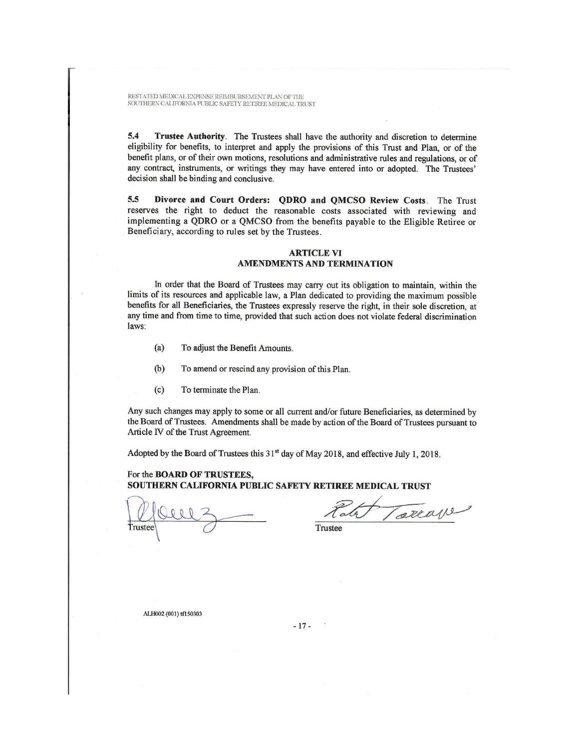RESTATED MEDICAL EXPENSE REIMBURSEMENT PLAN OF THE SOUTHERN CALIFORNIA PUBLIC SAFETY RETIREE MEDICAL TRUST

Trustee Authority. The Trustees shall have the authority and discretion to determine 5.4 eligibility for benefits, to interpret and apply the provisions of this Trust and Plan, or of the benefit plans, or of their own motions, resolutions and administrative rules and regulations, or of any contract, instruments, or writings they may have entered into or adopted. The Trustees' decision shall be binding and conclusive.

Divorce and Court Orders: QDRO and QMCSO Review Costs. The Trust 5.5 reserves the right to deduct the reasonable costs associated with reviewing and implementing a QDRO or a QMCSO from the benefits payable to the Eligible Retiree or Beneficiary, according to rules set by the Trustees.

#### **ARTICLE VI AMENDMENTS AND TERMINATION**

In order that the Board of Trustees may carry out its obligation to maintain, within the limits of its resources and applicable law, a Plan dedicated to providing the maximum possible benefits for all Beneficiaries, the Trustees expressly reserve the right, in their sole discretion, at any time and from time to time, provided that such action does not violate federal discrimination laws:

- $(a)$ To adjust the Benefit Amounts.
- $(b)$ To amend or rescind any provision of this Plan.
- $(c)$ To terminate the Plan.

Any such changes may apply to some or all current and/or future Beneficiaries, as determined by the Board of Trustees. Amendments shall be made by action of the Board of Trustees pursuant to Article IV of the Trust Agreement.

Adopted by the Board of Trustees this 31<sup>st</sup> day of May 2018, and effective July 1, 2018.

#### For the BOARD OF TRUSTEES, SOUTHERN CALIFORNIA PUBLIC SAFETY RETIREE MEDICAL TRUST

Torrage Tale

Trustee

ALH002 (001) tf150303

 $-17-$